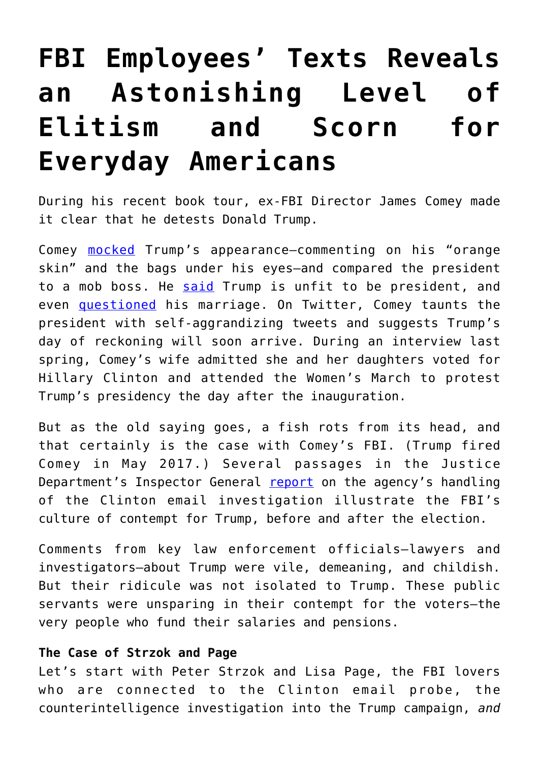## **[FBI Employees' Texts Reveals](https://intellectualtakeout.org/2018/06/fbi-employees-texts-reveals-an-astonishing-level-of-elitism-and-scorn-for-everyday-americans/) [an Astonishing Level of](https://intellectualtakeout.org/2018/06/fbi-employees-texts-reveals-an-astonishing-level-of-elitism-and-scorn-for-everyday-americans/) [Elitism and Scorn for](https://intellectualtakeout.org/2018/06/fbi-employees-texts-reveals-an-astonishing-level-of-elitism-and-scorn-for-everyday-americans/) [Everyday Americans](https://intellectualtakeout.org/2018/06/fbi-employees-texts-reveals-an-astonishing-level-of-elitism-and-scorn-for-everyday-americans/)**

During his recent book tour, ex-FBI Director James Comey made it clear that he detests Donald Trump.

Comey [mocked](http://thehill.com/policy/national-security/383114-comey-trump-feud-takes-vicious-turn) Trump's appearance—commenting on his "orange skin" and the bags under his eyes—and compared the president to a mob boss. He [said](https://abcnews.go.com/2020/video/comey-thinks-donald-trump-unfit-president-54486017) Trump is unfit to be president, and even [questioned](https://www.newsmax.com/newsfront/james-comey-kellyanne-conway-donald-trump-trump-marriage/2018/04/13/id/854353/) his marriage. On Twitter, Comey taunts the president with self-aggrandizing tweets and suggests Trump's day of reckoning will soon arrive. During an interview last spring, Comey's wife admitted she and her daughters voted for Hillary Clinton and attended the Women's March to protest Trump's presidency the day after the inauguration.

But as the old saying goes, a fish rots from its head, and that certainly is the case with Comey's FBI. (Trump fired Comey in May 2017.) Several passages in the Justice Department's Inspector General [report](https://www.justice.gov/file/1071991/download) on the agency's handling of the Clinton email investigation illustrate the FBI's culture of contempt for Trump, before and after the election.

Comments from key law enforcement officials—lawyers and investigators—about Trump were vile, demeaning, and childish. But their ridicule was not isolated to Trump. These public servants were unsparing in their contempt for the voters—the very people who fund their salaries and pensions.

## **The Case of Strzok and Page**

Let's start with Peter Strzok and Lisa Page, the FBI lovers who are connected to the Clinton email probe, the counterintelligence investigation into the Trump campaign, *and*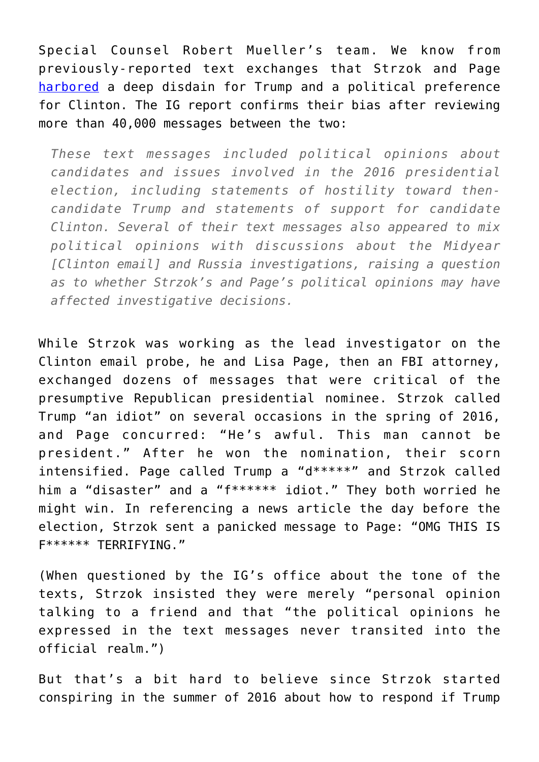Special Counsel Robert Mueller's team. We know from previously-reported text exchanges that Strzok and Page [harbored](https://www.washingtonexaminer.com/doj-provides-congress-with-hundreds-of-texts-between-ex-mueller-team-agent-peter-strzok-and-alleged-mistress-lisa-page/article/2643321) a deep disdain for Trump and a political preference for Clinton. The IG report confirms their bias after reviewing more than 40,000 messages between the two:

*These text messages included political opinions about candidates and issues involved in the 2016 presidential election, including statements of hostility toward thencandidate Trump and statements of support for candidate Clinton. Several of their text messages also appeared to mix political opinions with discussions about the Midyear [Clinton email] and Russia investigations, raising a question as to whether Strzok's and Page's political opinions may have affected investigative decisions.*

While Strzok was working as the lead investigator on the Clinton email probe, he and Lisa Page, then an FBI attorney, exchanged dozens of messages that were critical of the presumptive Republican presidential nominee. Strzok called Trump "an idiot" on several occasions in the spring of 2016, and Page concurred: "He's awful. This man cannot be president." After he won the nomination, their scorn intensified. Page called Trump a "d\*\*\*\*\*" and Strzok called him a "disaster" and a "f\*\*\*\*\*\* idiot." They both worried he might win. In referencing a news article the day before the election, Strzok sent a panicked message to Page: "OMG THIS IS F\*\*\*\*\*\* TERRIFYING."

(When questioned by the IG's office about the tone of the texts, Strzok insisted they were merely "personal opinion talking to a friend and that "the political opinions he expressed in the text messages never transited into the official realm.")

But that's a bit hard to believe since Strzok started conspiring in the summer of 2016 about how to respond if Trump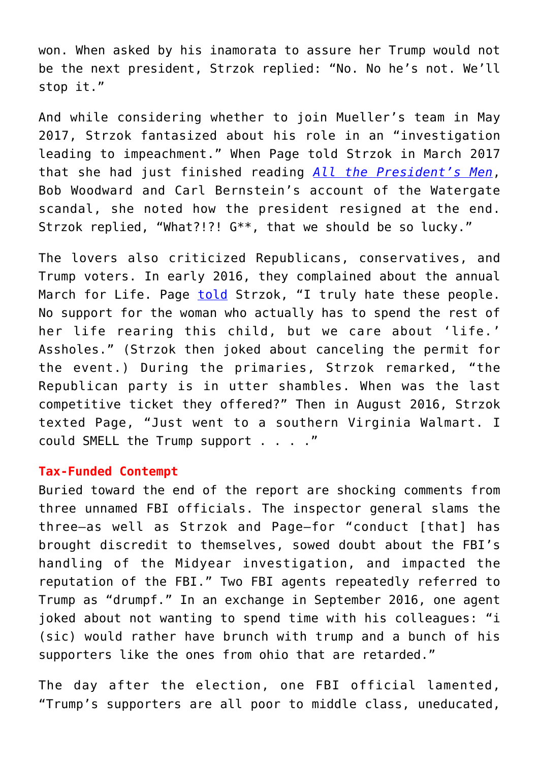won. When asked by his inamorata to assure her Trump would not be the next president, Strzok replied: "No. No he's not. We'll stop it."

And while considering whether to join Mueller's team in May 2017, Strzok fantasized about his role in an "investigation leading to impeachment." When Page told Strzok in March 2017 that she had just finished reading *[All the President's Men](https://www.amazon.com/All-Presidents-Men-Bob-Woodward/dp/1476770514)*, Bob Woodward and Carl Bernstein's account of the Watergate scandal, she noted how the president resigned at the end. Strzok replied, "What?!?! G\*\*, that we should be so lucky."

The lovers also criticized Republicans, conservatives, and Trump voters. In early 2016, they complained about the annual March for Life. Page [told](https://www.lifesitenews.com/news/i-truly-hate-these-people-disgraced-fbi-agents-trashed-pro-lifers-wanted-to) Strzok, "I truly hate these people. No support for the woman who actually has to spend the rest of her life rearing this child, but we care about 'life.' Assholes." (Strzok then joked about canceling the permit for the event.) During the primaries, Strzok remarked, "the Republican party is in utter shambles. When was the last competitive ticket they offered?" Then in August 2016, Strzok texted Page, "Just went to a southern Virginia Walmart. I could SMELL the Trump support . . . ."

## **Tax-Funded Contempt**

Buried toward the end of the report are shocking comments from three unnamed FBI officials. The inspector general slams the three—as well as Strzok and Page—for "conduct [that] has brought discredit to themselves, sowed doubt about the FBI's handling of the Midyear investigation, and impacted the reputation of the FBI." Two FBI agents repeatedly referred to Trump as "drumpf." In an exchange in September 2016, one agent joked about not wanting to spend time with his colleagues: "i (sic) would rather have brunch with trump and a bunch of his supporters like the ones from ohio that are retarded."

The day after the election, one FBI official lamented, "Trump's supporters are all poor to middle class, uneducated,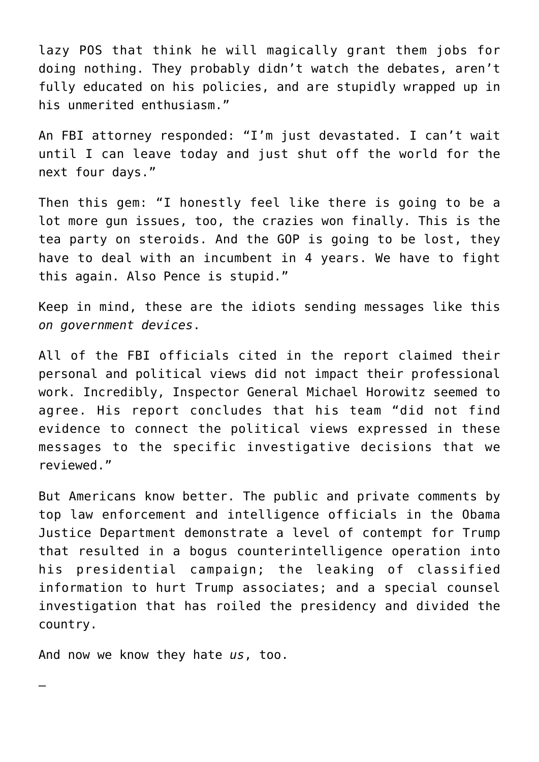lazy POS that think he will magically grant them jobs for doing nothing. They probably didn't watch the debates, aren't fully educated on his policies, and are stupidly wrapped up in his unmerited enthusiasm."

An FBI attorney responded: "I'm just devastated. I can't wait until I can leave today and just shut off the world for the next four days."

Then this gem: "I honestly feel like there is going to be a lot more gun issues, too, the crazies won finally. This is the tea party on steroids. And the GOP is going to be lost, they have to deal with an incumbent in 4 years. We have to fight this again. Also Pence is stupid."

Keep in mind, these are the idiots sending messages like this *on government devices*.

All of the FBI officials cited in the report claimed their personal and political views did not impact their professional work. Incredibly, Inspector General Michael Horowitz seemed to agree. His report concludes that his team "did not find evidence to connect the political views expressed in these messages to the specific investigative decisions that we reviewed."

But Americans know better. The public and private comments by top law enforcement and intelligence officials in the Obama Justice Department demonstrate a level of contempt for Trump that resulted in a bogus counterintelligence operation into his presidential campaign; the leaking of classified information to hurt Trump associates; and a special counsel investigation that has roiled the presidency and divided the country.

And now we know they hate *us*, too.

—